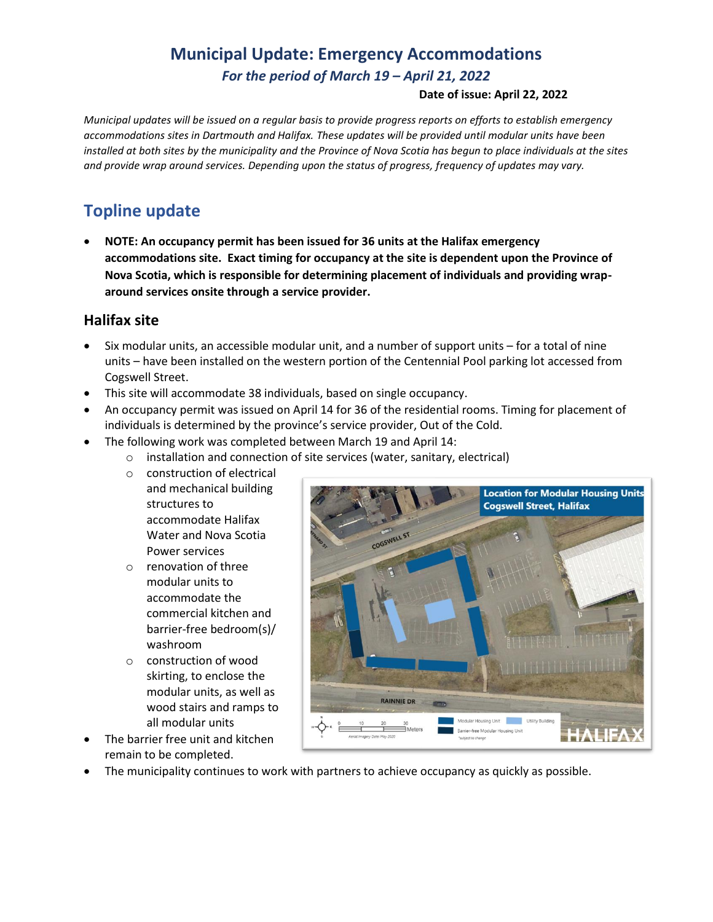# **Municipal Update: Emergency Accommodations** *For the period of March 19 – April 21, 2022*

#### **Date of issue: April 22, 2022**

*Municipal updates will be issued on a regular basis to provide progress reports on efforts to establish emergency accommodations sites in Dartmouth and Halifax. These updates will be provided until modular units have been installed at both sites by the municipality and the Province of Nova Scotia has begun to place individuals at the sites and provide wrap around services. Depending upon the status of progress, frequency of updates may vary.* 

### **Topline update**

• **NOTE: An occupancy permit has been issued for 36 units at the Halifax emergency accommodations site. Exact timing for occupancy at the site is dependent upon the Province of Nova Scotia, which is responsible for determining placement of individuals and providing wraparound services onsite through a service provider.**

### **Halifax site**

- Six modular units, an accessible modular unit, and a number of support units for a total of nine units – have been installed on the western portion of the Centennial Pool parking lot accessed from Cogswell Street.
- This site will accommodate 38 individuals, based on single occupancy.
- An occupancy permit was issued on April 14 for 36 of the residential rooms. Timing for placement of individuals is determined by the province's service provider, Out of the Cold.
- The following work was completed between March 19 and April 14:
	- o installation and connection of site services (water, sanitary, electrical)
		- o construction of electrical
		- and mechanical building structures to accommodate Halifax Water and Nova Scotia Power services
		- o renovation of three modular units to accommodate the commercial kitchen and barrier-free bedroom(s)/ washroom
		- o construction of wood skirting, to enclose the modular units, as well as wood stairs and ramps to all modular units
- The barrier free unit and kitchen remain to be completed.



• The municipality continues to work with partners to achieve occupancy as quickly as possible.